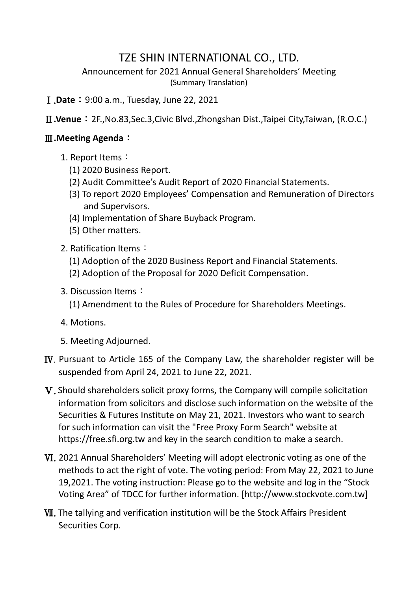## TZE SHIN INTERNATIONAL CO., LTD.

Announcement for 2021 Annual General Shareholders' Meeting (Summary Translation)

Ⅰ.**Date**:9:00 a.m., Tuesday, June 22, 2021

Ⅱ**.Venue**:2F.,No.83,Sec.3,Civic Blvd.,Zhongshan Dist.,Taipei City,Taiwan, (R.O.C.)

## Ⅲ**.Meeting Agenda**:

- 1. Report Items:
	- (1) 2020 Business Report.
	- (2) Audit Committee's Audit Report of 2020 Financial Statements.
	- (3) To report 2020 Employees' Compensation and Remuneration of Directors and Supervisors.
	- (4) Implementation of Share Buyback Program.
	- (5) Other matters.
- 2. Ratification Items:
	- (1) Adoption of the 2020 Business Report and Financial Statements.
	- (2) Adoption of the Proposal for 2020 Deficit Compensation.
- 3. Discussion Items:
	- (1) Amendment to the Rules of Procedure for Shareholders Meetings.
- 4. Motions.
- 5. Meeting Adjourned.
- Ⅳ. Pursuant to Article 165 of the Company Law, the shareholder register will be suspended from April 24, 2021 to June 22, 2021.
- Ⅴ. Should shareholders solicit proxy forms, the Company will compile solicitation information from solicitors and disclose such information on the website of the Securities & Futures Institute on May 21, 2021. Investors who want to search for such information can visit the "Free Proxy Form Search" website at https://free.sfi.org.tw and key in the search condition to make a search.
- Ⅵ. 2021 Annual Shareholders' Meeting will adopt electronic voting as one of the methods to act the right of vote. The voting period: From May 22, 2021 to June 19,2021. The voting instruction: Please go to the website and log in the "Stock Voting Area" of TDCC for further information. [http://www.stockvote.com.tw]
- Ⅶ. The tallying and verification institution will be the Stock Affairs President Securities Corp.